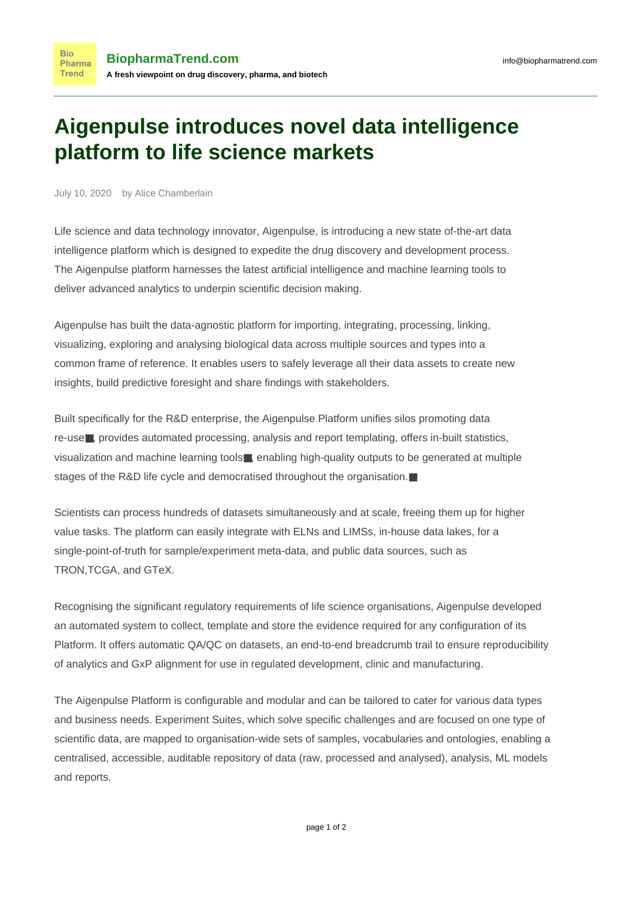## **Aigenpulse introduces novel data intelligence platform to life science markets**

July 10, 2020 by Alice Chamberlain

**Bio** 

Trend

Life science and data technology innovator, Aigenpulse, is introducing a new state of-the-art data intelligence platform which is designed to expedite the drug discovery and development process. The Aigenpulse platform harnesses the latest artificial intelligence and machine learning tools to deliver advanced analytics to underpin scientific decision making.

Aigenpulse has built the data-agnostic platform for importing, integrating, processing, linking, visualizing, exploring and analysing biological data across multiple sources and types into a common frame of reference. It enables users to safely leverage all their data assets to create new insights, build predictive foresight and share findings with stakeholders.

Built specifically for the R&D enterprise, the Aigenpulse Platform unifies silos promoting data re-use■, provides automated processing, analysis and report templating, offers in-built statistics, visualization and machine learning tools■, enabling high-quality outputs to be generated at multiple stages of the R&D life cycle and democratised throughout the organisation.■

Scientists can process hundreds of datasets simultaneously and at scale, freeing them up for higher value tasks. The platform can easily integrate with ELNs and LIMSs, in-house data lakes, for a single-point-of-truth for sample/experiment meta-data, and public data sources, such as TRON,TCGA, and GTeX.

Recognising the significant regulatory requirements of life science organisations, Aigenpulse developed an automated system to collect, template and store the evidence required for any configuration of its Platform. It offers automatic QA/QC on datasets, an end-to-end breadcrumb trail to ensure reproducibility of analytics and GxP alignment for use in regulated development, clinic and manufacturing.

The Aigenpulse Platform is configurable and modular and can be tailored to cater for various data types and business needs. Experiment Suites, which solve specific challenges and are focused on one type of scientific data, are mapped to organisation-wide sets of samples, vocabularies and ontologies, enabling a centralised, accessible, auditable repository of data (raw, processed and analysed), analysis, ML models and reports.